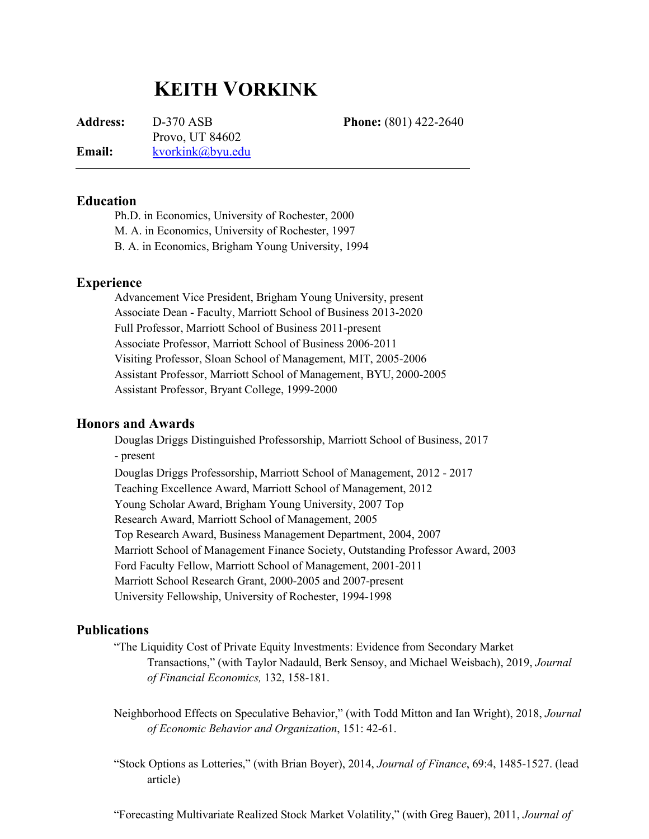# **KEITH VORKINK**

**Address:** D-370 ASB **Phone:** (801) 422-2640 Provo, UT 84602 **Email:** [kvorkink@byu.edu](mailto:kvorkink@byu.edu)

**Education**

Ph.D. in Economics, University of Rochester, 2000 M. A. in Economics, University of Rochester, 1997 B. A. in Economics, Brigham Young University, 1994

## **Experience**

Advancement Vice President, Brigham Young University, present Associate Dean - Faculty, Marriott School of Business 2013-2020 Full Professor, Marriott School of Business 2011-present Associate Professor, Marriott School of Business 2006-2011 Visiting Professor, Sloan School of Management, MIT, 2005-2006 Assistant Professor, Marriott School of Management, BYU, 2000-2005 Assistant Professor, Bryant College, 1999-2000

## **Honors and Awards**

Douglas Driggs Distinguished Professorship, Marriott School of Business, 2017 - present Douglas Driggs Professorship, Marriott School of Management, 2012 - 2017 Teaching Excellence Award, Marriott School of Management, 2012 Young Scholar Award, Brigham Young University, 2007 Top Research Award, Marriott School of Management, 2005 Top Research Award, Business Management Department, 2004, 2007 Marriott School of Management Finance Society, Outstanding Professor Award, 2003 Ford Faculty Fellow, Marriott School of Management, 2001-2011 Marriott School Research Grant, 2000-2005 and 2007-present University Fellowship, University of Rochester, 1994-1998

## **Publications**

"The Liquidity Cost of Private Equity Investments: Evidence from Secondary Market Transactions," (with Taylor Nadauld, Berk Sensoy, and Michael Weisbach), 2019, *Journal of Financial Economics,* 132, 158-181.

Neighborhood Effects on Speculative Behavior," (with Todd Mitton and Ian Wright), 2018, *Journal of Economic Behavior and Organization*, 151: 42-61.

"Stock Options as Lotteries," (with Brian Boyer), 2014, *Journal of Finance*, 69:4, 1485-1527. (lead article)

"Forecasting Multivariate Realized Stock Market Volatility," (with Greg Bauer), 2011, *Journal of*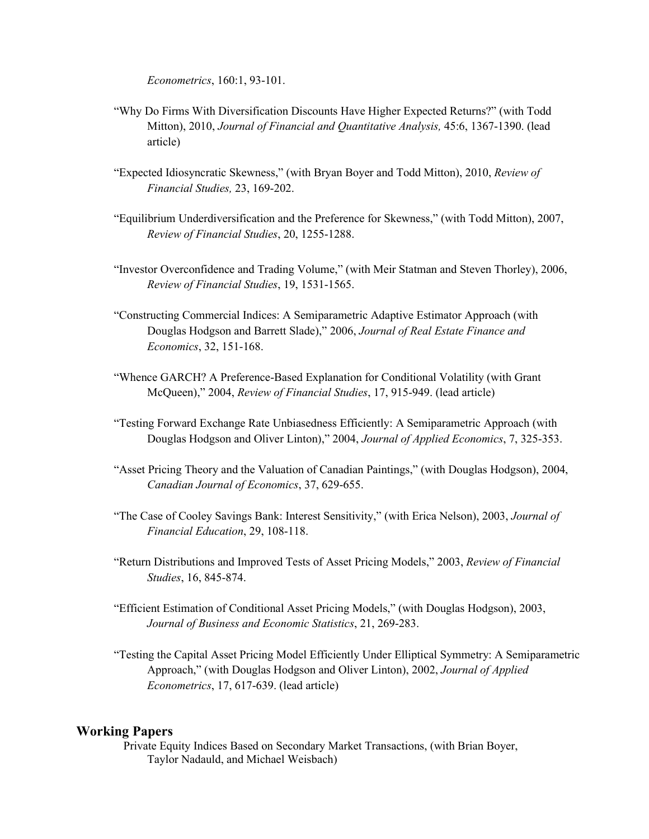*Econometrics*, 160:1, 93-101.

- "Why Do Firms With Diversification Discounts Have Higher Expected Returns?" (with Todd Mitton), 2010, *Journal of Financial and Quantitative Analysis,* 45:6, 1367-1390. (lead article)
- "Expected Idiosyncratic Skewness," (with Bryan Boyer and Todd Mitton), 2010, *Review of Financial Studies,* 23, 169-202.
- "Equilibrium Underdiversification and the Preference for Skewness," (with Todd Mitton), 2007, *Review of Financial Studies*, 20, 1255-1288.
- "Investor Overconfidence and Trading Volume," (with Meir Statman and Steven Thorley), 2006, *Review of Financial Studies*, 19, 1531-1565.
- "Constructing Commercial Indices: A Semiparametric Adaptive Estimator Approach (with Douglas Hodgson and Barrett Slade)," 2006, *Journal of Real Estate Finance and Economics*, 32, 151-168.
- "Whence GARCH? A Preference-Based Explanation for Conditional Volatility (with Grant McQueen)," 2004, *Review of Financial Studies*, 17, 915-949. (lead article)
- "Testing Forward Exchange Rate Unbiasedness Efficiently: A Semiparametric Approach (with Douglas Hodgson and Oliver Linton)," 2004, *Journal of Applied Economics*, 7, 325-353.
- "Asset Pricing Theory and the Valuation of Canadian Paintings," (with Douglas Hodgson), 2004, *Canadian Journal of Economics*, 37, 629-655.
- "The Case of Cooley Savings Bank: Interest Sensitivity," (with Erica Nelson), 2003, *Journal of Financial Education*, 29, 108-118.
- "Return Distributions and Improved Tests of Asset Pricing Models," 2003, *Review of Financial Studies*, 16, 845-874.
- "Efficient Estimation of Conditional Asset Pricing Models," (with Douglas Hodgson), 2003, *Journal of Business and Economic Statistics*, 21, 269-283.
- "Testing the Capital Asset Pricing Model Efficiently Under Elliptical Symmetry: A Semiparametric Approach," (with Douglas Hodgson and Oliver Linton), 2002, *Journal of Applied Econometrics*, 17, 617-639. (lead article)

#### **Working Papers**

Private Equity Indices Based on Secondary Market Transactions, (with Brian Boyer, Taylor Nadauld, and Michael Weisbach)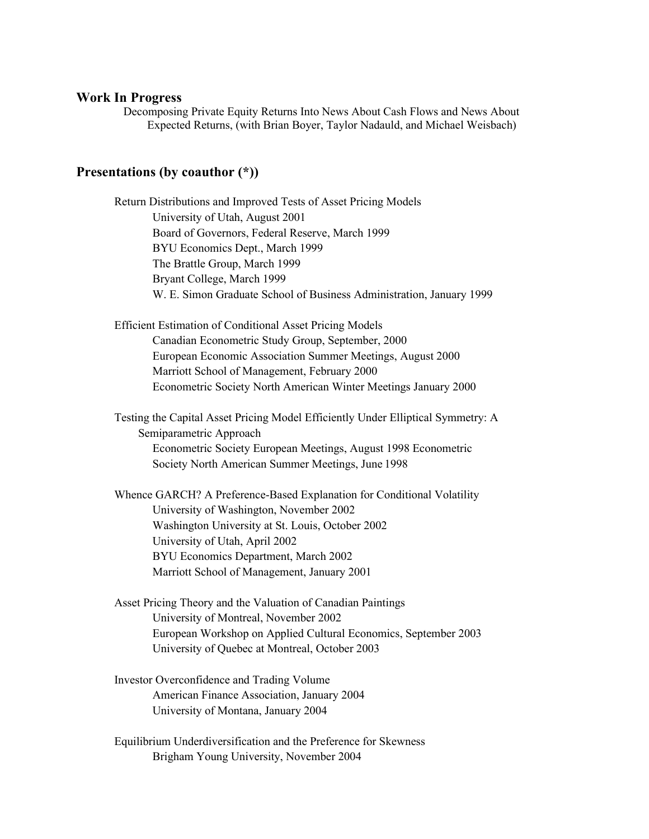#### **Work In Progress**

Decomposing Private Equity Returns Into News About Cash Flows and News About Expected Returns, (with Brian Boyer, Taylor Nadauld, and Michael Weisbach)

## **Presentations (by coauthor (\*))**

Return Distributions and Improved Tests of Asset Pricing Models University of Utah, August 2001 Board of Governors, Federal Reserve, March 1999 BYU Economics Dept., March 1999 The Brattle Group, March 1999 Bryant College, March 1999 W. E. Simon Graduate School of Business Administration, January 1999 Efficient Estimation of Conditional Asset Pricing Models Canadian Econometric Study Group, September, 2000 European Economic Association Summer Meetings, August 2000 Marriott School of Management, February 2000 Econometric Society North American Winter Meetings January 2000 Testing the Capital Asset Pricing Model Efficiently Under Elliptical Symmetry: A Semiparametric Approach Econometric Society European Meetings, August 1998 Econometric Society North American Summer Meetings, June 1998 Whence GARCH? A Preference-Based Explanation for Conditional Volatility University of Washington, November 2002 Washington University at St. Louis, October 2002 University of Utah, April 2002 BYU Economics Department, March 2002 Marriott School of Management, January 2001 Asset Pricing Theory and the Valuation of Canadian Paintings University of Montreal, November 2002 European Workshop on Applied Cultural Economics, September 2003 University of Quebec at Montreal, October 2003 Investor Overconfidence and Trading Volume American Finance Association, January 2004

University of Montana, January 2004

Equilibrium Underdiversification and the Preference for Skewness Brigham Young University, November 2004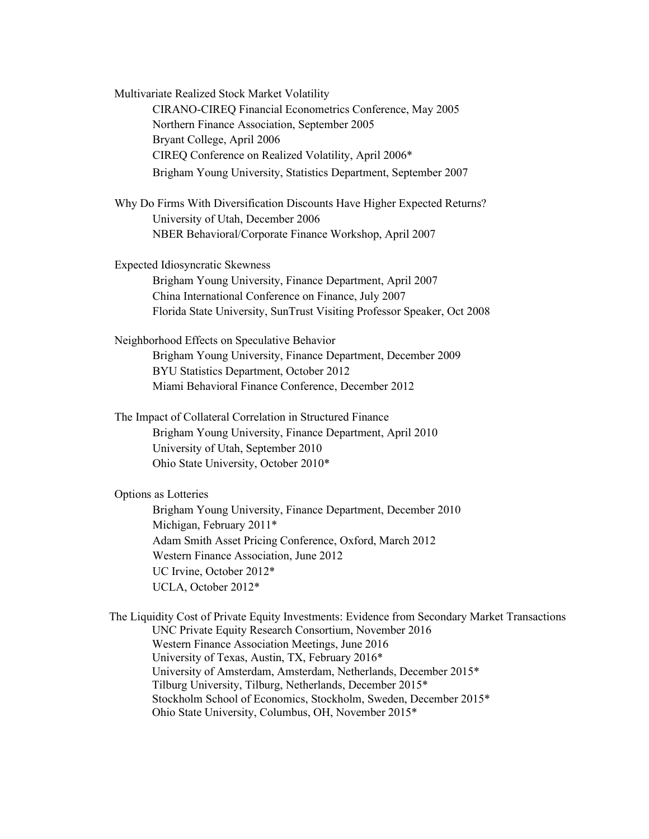Multivariate Realized Stock Market Volatility CIRANO-CIREQ Financial Econometrics Conference, May 2005 Northern Finance Association, September 2005 Bryant College, April 2006 CIREQ Conference on Realized Volatility, April 2006\* Brigham Young University, Statistics Department, September 2007 Why Do Firms With Diversification Discounts Have Higher Expected Returns? University of Utah, December 2006 NBER Behavioral/Corporate Finance Workshop, April 2007 Expected Idiosyncratic Skewness Brigham Young University, Finance Department, April 2007 China International Conference on Finance, July 2007 Florida State University, SunTrust Visiting Professor Speaker, Oct 2008 Neighborhood Effects on Speculative Behavior Brigham Young University, Finance Department, December 2009 BYU Statistics Department, October 2012 Miami Behavioral Finance Conference, December 2012 The Impact of Collateral Correlation in Structured Finance Brigham Young University, Finance Department, April 2010 University of Utah, September 2010 Ohio State University, October 2010\* Options as Lotteries Brigham Young University, Finance Department, December 2010 Michigan, February 2011\* Adam Smith Asset Pricing Conference, Oxford, March 2012 Western Finance Association, June 2012 UC Irvine, October 2012\* UCLA, October 2012\*

The Liquidity Cost of Private Equity Investments: Evidence from Secondary Market Transactions UNC Private Equity Research Consortium, November 2016 Western Finance Association Meetings, June 2016 University of Texas, Austin, TX, February 2016\* University of Amsterdam, Amsterdam, Netherlands, December 2015\* Tilburg University, Tilburg, Netherlands, December 2015\* Stockholm School of Economics, Stockholm, Sweden, December 2015\* Ohio State University, Columbus, OH, November 2015\*